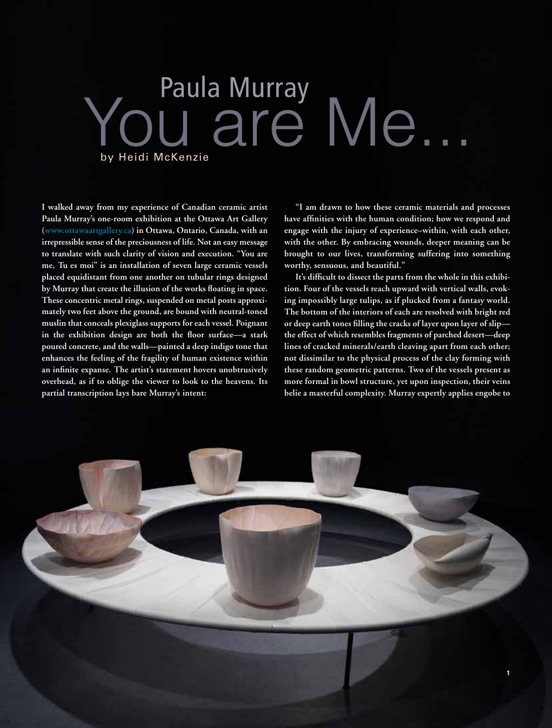## Paula Murray u are Me. by Heidi McKenzie

**I walked away from my experience of Canadian ceramic artist Paula Murray's one-room exhibition at the Ottawa Art Gallery (www.ottawaartgallery.ca) in Ottawa, Ontario, Canada, with an irrepressible sense of the preciousness of life. Not an easy message to translate with such clarity of vision and execution. "You are me, Tu es moi" is an installation of seven large ceramic vessels placed equidistant from one another on tubular rings designed by Murray that create the illusion of the works floating in space. These concentric metal rings, suspended on metal posts approximately two feet above the ground, are bound with neutral-toned muslin that conceals plexiglass supports for each vessel. Poignant in the exhibition design are both the floor surface—a stark poured concrete, and the walls—painted a deep indigo tone that enhances the feeling of the fragility of human existence within an infinite expanse. The artist's statement hovers unobtrusively overhead, as if to oblige the viewer to look to the heavens. Its partial transcription lays bare Murray's intent:**

**"I am drawn to how these ceramic materials and processes have affinities with the human condition; how we respond and engage with the injury of experience–within, with each other, with the other. By embracing wounds, deeper meaning can be brought to our lives, transforming suffering into something worthy, sensuous, and beautiful."**

**It's difficult to dissect the parts from the whole in this exhibition. Four of the vessels reach upward with vertical walls, evoking impossibly large tulips, as if plucked from a fantasy world. The bottom of the interiors of each are resolved with bright red or deep earth tones filling the cracks of layer upon layer of slip the effect of which resembles fragments of parched desert—deep lines of cracked minerals/earth cleaving apart from each other; not dissimilar to the physical process of the clay forming with these random geometric patterns. Two of the vessels present as more formal in bowl structure, yet upon inspection, their veins belie a masterful complexity. Murray expertly applies engobe to**

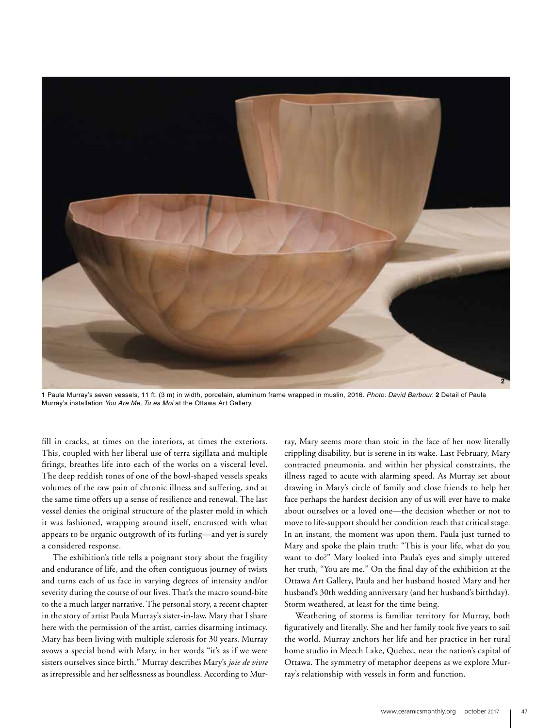

**1** Paula Murray's seven vessels, 11 ft. (3 m) in width, porcelain, aluminum frame wrapped in muslin, 2016. *Photo: David Barbour*. **2** Detail of Paula Murray's installation *You Are Me, Tu es Moi* at the Ottawa Art Gallery.

fill in cracks, at times on the interiors, at times the exteriors. This, coupled with her liberal use of terra sigillata and multiple firings, breathes life into each of the works on a visceral level. The deep reddish tones of one of the bowl-shaped vessels speaks volumes of the raw pain of chronic illness and suffering, and at the same time offers up a sense of resilience and renewal. The last vessel denies the original structure of the plaster mold in which it was fashioned, wrapping around itself, encrusted with what appears to be organic outgrowth of its furling—and yet is surely a considered response.

The exhibition's title tells a poignant story about the fragility and endurance of life, and the often contiguous journey of twists and turns each of us face in varying degrees of intensity and/or severity during the course of our lives. That's the macro sound-bite to the a much larger narrative. The personal story, a recent chapter in the story of artist Paula Murray's sister-in-law, Mary that I share here with the permission of the artist, carries disarming intimacy. Mary has been living with multiple sclerosis for 30 years. Murray avows a special bond with Mary, in her words "it's as if we were sisters ourselves since birth." Murray describes Mary's *joie de vivre* as irrepressible and her selflessness as boundless. According to Mur-

ray, Mary seems more than stoic in the face of her now literally crippling disability, but is serene in its wake. Last February, Mary contracted pneumonia, and within her physical constraints, the illness raged to acute with alarming speed. As Murray set about drawing in Mary's circle of family and close friends to help her face perhaps the hardest decision any of us will ever have to make about ourselves or a loved one—the decision whether or not to move to life-support should her condition reach that critical stage. In an instant, the moment was upon them. Paula just turned to Mary and spoke the plain truth: "This is your life, what do you want to do?" Mary looked into Paula's eyes and simply uttered her truth, "You are me." On the final day of the exhibition at the Ottawa Art Gallery, Paula and her husband hosted Mary and her husband's 30th wedding anniversary (and her husband's birthday). Storm weathered, at least for the time being.

Weathering of storms is familiar territory for Murray, both figuratively and literally. She and her family took five years to sail the world. Murray anchors her life and her practice in her rural home studio in Meech Lake, Quebec, near the nation's capital of Ottawa. The symmetry of metaphor deepens as we explore Murray's relationship with vessels in form and function.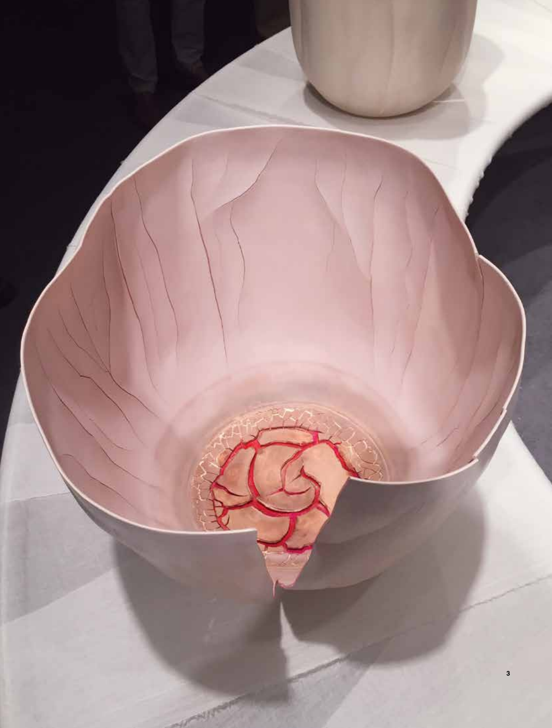